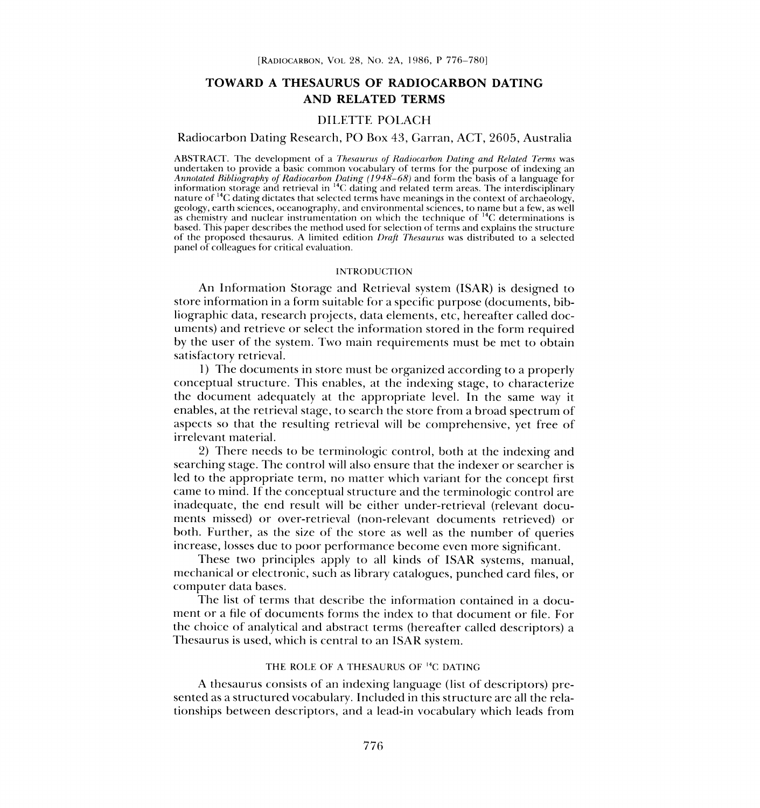# TOWARD A THESAURUS OF RADIOCARBON DATING AND RELATED TERMS

## DILETTE POLACH

### Radiocarbon Dating Research, PO Box 43, Garran, ACT, 2605, Australia

ABSTRACT. The development of a *Thesaurus of Radiocarbon Dating and Related Terms* was<br>undertaken to provide a basic common vocabulary of terms for the purpose of indexing an<br>*Annotated Bibliography of Radiocarbon Dating (* nature of  $^{14}$ C dating dictates that selected terms have meanings in the context of archaeology, geology, earth sciences, oceanography, and environmental sciences, to name but a few, as well as chemistry and nuclear instrumentation on which the technique of  $\frac{14C}{C}$  determinations is based. This paper describes the method used for selection of terms and explains the structure of the proposed thesaurus. A limited edition Draft Thesaurus was distributed to a selected panel of colleagues for critical evaluation.

### INTRODUCTION

An Information Storage and Retrieval system (ISAR) is designed to store information in a form suitable for a specific purpose (documents, bibliographic data, research projects, data elements, etc, hereafter called documents) and retrieve or select the information stored in the form required by the user of the system. Two main requirements must be met to obtain satisfactory retrieval.

1) The documents in store must be organized according to a properly conceptual structure. This enables, at the indexing stage, to characterize the document adequately at the appropriate level. In the same way it enables, at the retrieval stage, to search the store from a broad spectrum of aspects so that the resulting retrieval will be comprehensive, yet free of irrelevant material.

2) There needs to be terminologic control, both at the indexing and searching stage. The control will also ensure that the indexer or searcher is led to the appropriate term, no matter which variant for the concept first came to mind. If the conceptual structure and the terminologic control are inadequate, the end result will be either under-retrieval (relevant documents missed) or over-retrieval (non-relevant documents retrieved) or both. Further, as the size of the store as well as the number of queries increase, losses due to poor performance become even more significant.

These two principles apply to all kinds of ISAR systems, manual, mechanical or electronic, such as library catalogues, punched card files, or computer data bases.

The list of terms that describe the information contained in a document or a file of documents forms the index to that document or file. For the choice of analytical and abstract terms (hereafter called descriptors) a Thesaurus is used, which is central to an ISAR system.

#### THE ROLE OF A THESAURUS OF <sup>14</sup>C DATING

A thesaurus consists of an indexing language (list of descriptors) presented as a structured vocabulary. Included in this structure are all the relationships between descriptors, and a lead-in vocabulary which leads from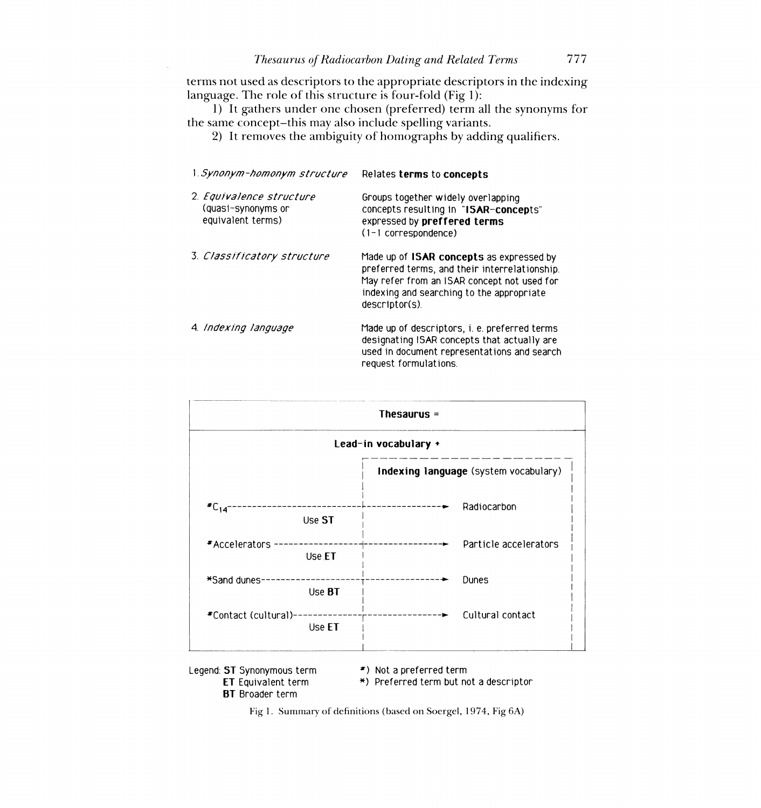# Thesaurus of Radiocarbon Dating and Related Terms 777

terms not used as descriptors to the appropriate descriptors in the indexing language. The role of this structure is four-fold (Fig 1):

1) It gathers under one chosen (preferred) term all the synonyms for the same concept-this may also include spelling variants.

2) It removes the ambiguity of homographs by adding qualifiers.

| 1. <i>Synonym-homonym structure</i>                                 | Relates terms to concepts                                                                                                                                                                               |
|---------------------------------------------------------------------|---------------------------------------------------------------------------------------------------------------------------------------------------------------------------------------------------------|
| 2. Equivalence structure<br>(quasi-synonyms or<br>equivalent terms) | Groups together widely overlapping<br>concepts resulting in "ISAR-concepts"<br>expressed by preffered terms<br>$(1 - 1$ correspondence)                                                                 |
| 3. Classificatory structure                                         | Made up of ISAR concepts as expressed by<br>preferred terms, and their interrelationship.<br>May refer from an ISAR concept not used for<br>indexing and searching to the appropriate<br>descriptor(s). |
| 4. Indexing language                                                | Made up of descriptors, i. e. preferred terms<br>designating ISAR concepts that actually are<br>used in document representations and search<br>request formulations.                                    |

|                                | Thesaurus $=$                                   |  |  |  |
|--------------------------------|-------------------------------------------------|--|--|--|
| Lead-in vocabulary +           |                                                 |  |  |  |
|                                | Indexing language (system vocabulary)           |  |  |  |
| $^*C_{14}^-$<br>Use ST         | Radiocarbon                                     |  |  |  |
| *Accelerators -<br>Use ET      | Particle accelerators<br>------------- <b>-</b> |  |  |  |
| *Sand dunes-<br>Use BT         | Dunes                                           |  |  |  |
| *Contact (cultural)-<br>Use ET | Cultural contact                                |  |  |  |

Legend: ST Synonymous term  $\begin{array}{cc} * \ * \ * \ * \end{array}$  Not a preferred term  $\begin{array}{cc} \text{ET} & \ast \end{array}$  Preferred term but not **BT** Broader term

\*) Preferred term but not a descriptor

Fig 1. Summary of definitions (based on Soergel, 1974, Fig 6A)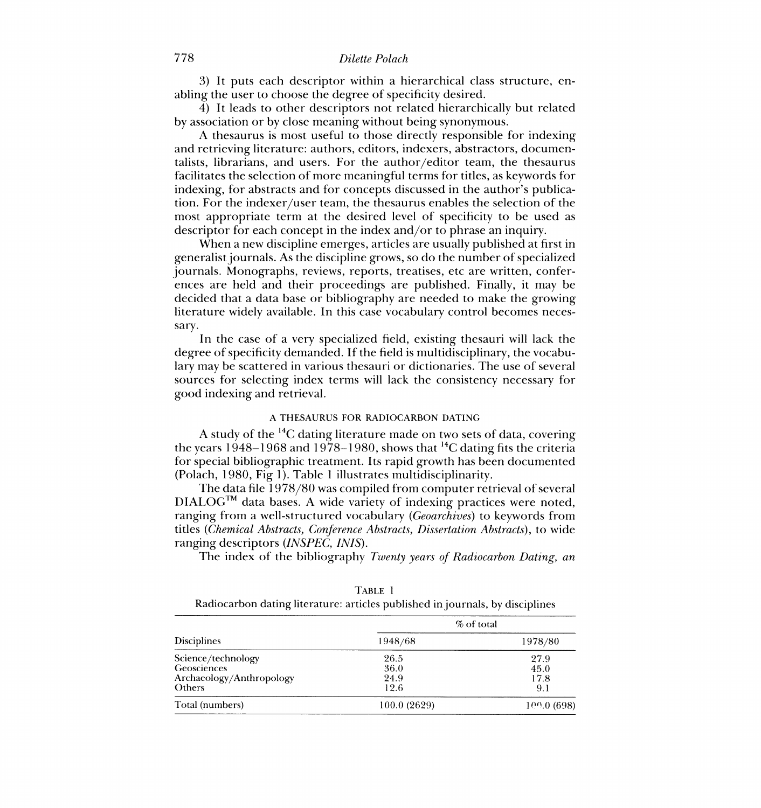# 778 Dilette Polach

3) It puts each descriptor within a hierarchical class structure, enabling the user to choose the degree of specificity desired.

4) It leads to other descriptors not related hierarchically but related by association or by close meaning without being synonymous.

A thesaurus is most useful to those directly responsible for indexing and retrieving literature: authors, editors, indexers, abstractors, documentalists, librarians, and users. For the author/editor team, the thesaurus facilitates the selection of more meaningful terms for titles, as keywords for indexing, for abstracts and for concepts discussed in the author's publication. For the indexer/user team, the thesaurus enables the selection of the most appropriate term at the desired level of specificity to be used as descriptor for each concept in the index and/or to phrase an inquiry.

When a new discipline emerges, articles are usually published at first in generalist journals. As the discipline grows, so do the number of specialized journals. Monographs, reviews, reports, treatises, etc are written, conferences are held and their proceedings are published. Finally, it may be decided that a data base or bibliography are needed to make the growing literature widely available. In this case vocabulary control becomes necessary.

In the case of a very specialized field, existing thesauri will lack the degree of specificity demanded. If the field is multidisciplinary, the vocabulary may be scattered in various thesauri or dictionaries. The use of several sources for selecting index terms will lack the consistency necessary for good indexing and retrieval.

### A THESAURUS FOR RADIOCARBON DATING

A study of the 14C dating literature made on two sets of data, covering the years 1948–1968 and 1978–1980, shows that <sup>14</sup>C dating fits the criteria for special bibliographic treatment. Its rapid growth has been documented (Polach, 1980, Fig 1). Table 1 illustrates multidisciplinarity.

The data file 1978/80 was compiled from computer retrieval of several DIALOGTM data bases. A wide variety of indexing practices were noted, ranging from a well-structured vocabulary (Geoarchives) to keywords from titles (Chemical Abstracts, Conference Abstracts, Dissertation Abstracts), to wide ranging descriptors (INSPEC, INIS).

The index of the bibliography Twenty years of Radiocarbon Dating, an

| <b>Disciplines</b>       | % of total   |            |
|--------------------------|--------------|------------|
|                          | 1948/68      | 1978/80    |
| Science/technology       | 26.5         | 27.9       |
| Geosciences              | 36.0         | 45.0       |
| Archaeology/Anthropology | 24.9         | 17.8       |
| Others                   | 12.6         | 9.1        |
| Total (numbers)          | 100.0 (2629) | 100.0(698) |

TABLE 1

Radiocarbon dating literature: articles published in journals, by disciplines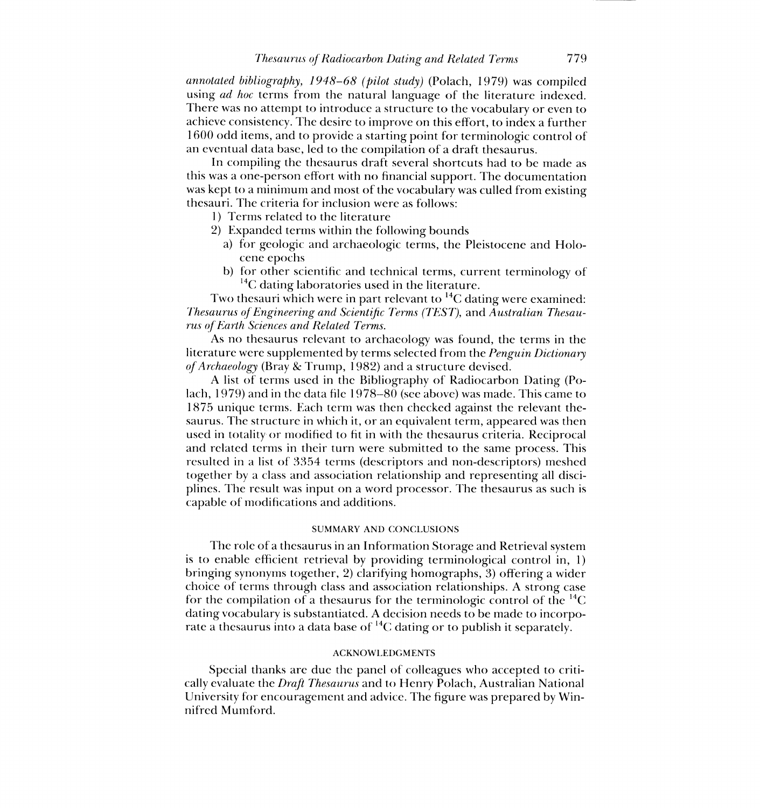annotated bibliography, 1948-68 (pilot study) (Polach, 1979) was compiled using *ad hoc* terms from the natural language of the literature indexed. There was no attempt to introduce a structure to the vocabulary or even to achieve consistency. The desire to improve on this effort, to index a further 1600 odd items, and to provide a starting point for terminologic control of an eventual data base, led to the compilation of a draft thesaurus.

In compiling the thesaurus draft several shortcuts had to be made as this was a one-person effort with no financial support. The documentation was kept to a minimum and most of the vocabulary was culled from existing thesauri. The criteria for inclusion were as follows:

1) Terms related to the literature

- 2) Expanded terms within the following bounds
	- a) for geologic and archaeologic terms, the Pleistocene and Holocene epochs
	- b) for other scientific and technical terms, current terminology of  ${}^{14}$ C dating laboratories used in the literature.

Two thesauri which were in part relevant to  ${}^{14}C$  dating were examined: Thesaurus of Engineering and Scientific Terms (TEST), and Australian Thesaurus of Earth Sciences and Related Terms.

As no thesaurus relevant to archaeology was found, the terms in the literature were supplemented by terms selected from the Penguin Dictionary of Archaeology (Bray & Trump, 1982) and a structure devised.

A list of terms used in the Bibliography of Radiocarbon Dating (Polach, 1979) and in the data file I978--80 (see above) was made. This came to 1875 unique terms. Each term was then checked against the relevant thesaurus. The structure in which it, or an equivalent term, appeared was then used in totality or modified to fit in with the thesaurus criteria. Reciprocal and related terms in their turn were submitted to the same process. This resulted in a list of 3354 terms (descriptors and non-descriptors) meshed together by a class and association relationship and representing all disciplines. The result was input on a word processor. The thesaurus as such is capable of modifications and additions.

### SUMMARY AND CONCLUSIONS

The role of a thesaurus in an Information Storage and Retrieval system is to enable efficient retrieval by providing terminological control in, 1) bringing synonyms together, 2) clarifying homographs, 3) offering a wider choice of terms through class and association relationships. A strong case for the compilation of a thesaurus for the terminologic control of the  ${}^{14}C$ dating vocabulary is substantiated. A decision needs to be made to incorporate a thesaurus into a data base of  ${}^{14}C$  dating or to publish it separately.

### ACKNOWLEDGMENTS

Special thanks are due the panel of colleagues who accepted to critically evaluate the Draft Thesaurus and to Henry Polach, Australian National University for encouragement and advice. The figure was prepared by Winnifred Mumford.